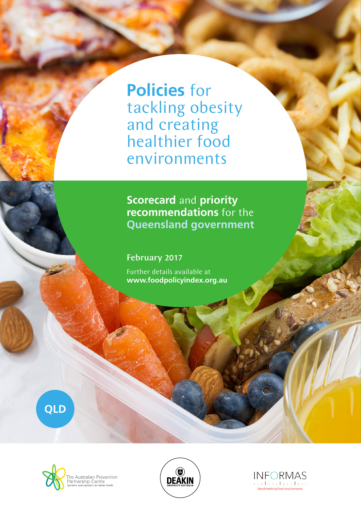**Policies** for tackling obesity and creating healthier food environments

**Scorecard** and **priority recommendations** for the **Queensland government**

February 2017

Further details available at **www.foodpolicyindex.org.au**







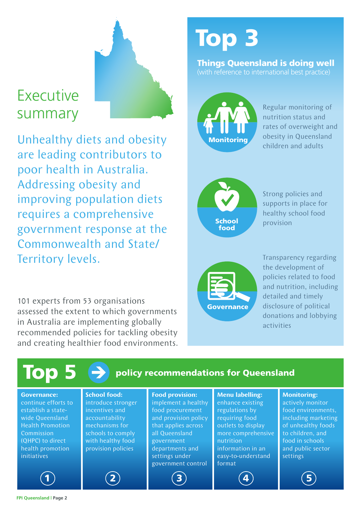# Executive summary

Unhealthy diets and obesity are leading contributors to poor health in Australia. Addressing obesity and improving population diets requires a comprehensive government response at the Commonwealth and State/ Territory levels.

101 experts from 53 organisations assessed the extent to which governments in Australia are implementing globally recommended policies for tackling obesity and creating healthier food environments.

# Top 3

#### Things Queensland is doing well (with reference to international best practice)



Regular monitoring of nutrition status and rates of overweight and obesity in Queensland children and adults



Strong policies and supports in place for healthy school food provision



Transparency regarding the development of policies related to food and nutrition, including detailed and timely disclosure of political donations and lobbying activities

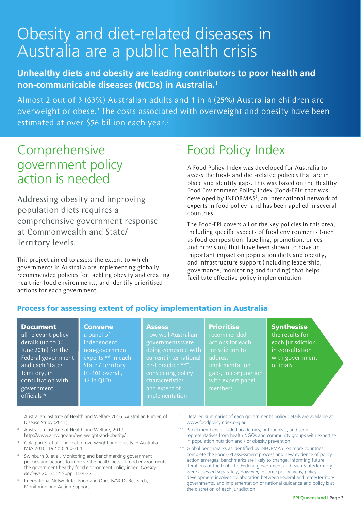# Obesity and diet-related diseases in Australia are a public health crisis

### **Unhealthy diets and obesity are leading contributors to poor health and non-communicable diseases (NCDs) in Australia.1**

Almost 2 out of 3 (63%) Australian adults and 1 in 4 (25%) Australian children are overweight or obese.<sup>2</sup> The costs associated with overweight and obesity have been estimated at over \$56 billion each year.<sup>3</sup>

### Comprehensive government policy action is needed

Addressing obesity and improving population diets requires a comprehensive government response at Commonwealth and State/ Territory levels.

This project aimed to assess the extent to which governments in Australia are implementing globally recommended policies for tackling obesity and creating healthier food environments, and identify prioritised actions for each government.

> **Convene** a panel of independent

12 in QLD)

# Food Policy Index

A Food Policy Index was developed for Australia to assess the food- and diet-related policies that are in place and identify gaps. This was based on the Healthy Food Environment Policy Index (Food-EPI)<sup>4</sup> that was developed by INFORMAS<sup>5</sup>, an international network of experts in food policy, and has been applied in several countries.

The Food-EPI covers all of the key policies in this area, including specific aspects of food environments (such as food composition, labelling, promotion, prices and provision) that have been shown to have an important impact on population diets and obesity, and infrastructure support (including leadership, governance, monitoring and funding) that helps facilitate effective policy implementation.

### Process for assessing extent of policy implementation in Australia

#### Document

all relevant policy details (up to 30 June 2016) for the Federal government and each State/ Territory, in consultation with government officials \*

#### **Assess**

non-government experts \*\* in each State / Territory (n=101 overall, how well Australian governments were doing compared with best practice \*\*\*, considering policy characteristics implementation

#### **Prioritise**

recommended actions for each address implementation gaps, in conjunction members

### **Synthesise**

the results for each jurisdiction, in consultation with government officials

- <sup>1</sup> Australian Institute of Health and Welfare 2016. Australian Burden of Disease Study (2011)
- <sup>2</sup> Australian Institute of Health and Welfare; 2017: http://www.aihw.gov.au/overweight-and-obesity/
- <sup>3</sup> Colagiuri S, et al. The cost of overweight and obesity in Australia. MJA 2010; 192 (5):260-264
- Swinburn B, et al. Monitoring and benchmarking government policies and actions to improve the healthiness of food environments: the government healthy food environment policy index. *Obesity Reviews* 2013; 14 Suppl 1:24-37
- <sup>5</sup> International Network for Food and Obesity/NCDs Research, Monitoring and Action Support
- Detailed summaries of each government's policy details are available at www.foodpolicyindex.org.au
- Panel members included academics, nutritionists, and senior representatives from health NGOs and community groups with expertise in population nutrition and / or obesity prevention
- Global benchmarks as identified by INFORMAS. As more countries complete the Food-EPI assessment process and new evidence of policy action emerges, benchmarks are likely to change, informing future iterations of the tool. The Federal government and each State/Territory were assessed separately; however, in some policy areas, policy development involves collaboration between Federal and State/Territory governments, and implementation of national guidance and policy is at the discretion of each jurisdiction.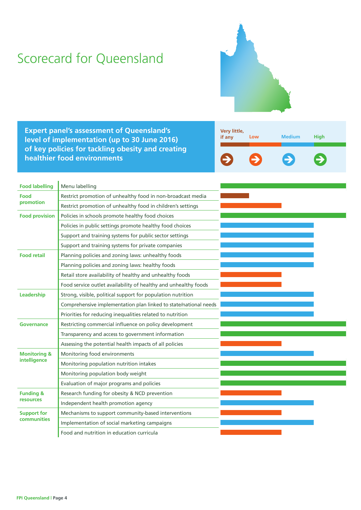## Scorecard for Queensland



**Expert panel's assessment of Queensland's level of implementation (up to 30 June 2016) of key policies for tackling obesity and creating healthier food environments**



| <b>Food labelling</b>                   | Menu labelling                                                   |  |  |
|-----------------------------------------|------------------------------------------------------------------|--|--|
| Food<br>promotion                       | Restrict promotion of unhealthy food in non-broadcast media      |  |  |
|                                         | Restrict promotion of unhealthy food in children's settings      |  |  |
| <b>Food provision</b>                   | Policies in schools promote healthy food choices                 |  |  |
|                                         | Policies in public settings promote healthy food choices         |  |  |
|                                         | Support and training systems for public sector settings          |  |  |
|                                         | Support and training systems for private companies               |  |  |
| <b>Food retail</b>                      | Planning policies and zoning laws: unhealthy foods               |  |  |
|                                         | Planning policies and zoning laws: healthy foods                 |  |  |
|                                         | Retail store availability of healthy and unhealthy foods         |  |  |
|                                         | Food service outlet availability of healthy and unhealthy foods  |  |  |
| Leadership                              | Strong, visible, political support for population nutrition      |  |  |
|                                         | Comprehensive implementation plan linked to state/national needs |  |  |
|                                         | Priorities for reducing inequalities related to nutrition        |  |  |
| Governance                              | Restricting commercial influence on policy development           |  |  |
|                                         | Transparency and access to government information                |  |  |
|                                         | Assessing the potential health impacts of all policies           |  |  |
| <b>Monitoring &amp;</b><br>intelligence | Monitoring food environments                                     |  |  |
|                                         | Monitoring population nutrition intakes                          |  |  |
|                                         | Monitoring population body weight                                |  |  |
|                                         | Evaluation of major programs and policies                        |  |  |
| <b>Funding &amp;</b>                    | Research funding for obesity & NCD prevention                    |  |  |
| resources                               | Independent health promotion agency                              |  |  |
| <b>Support for</b><br>communities       | Mechanisms to support community-based interventions              |  |  |
|                                         | Implementation of social marketing campaigns                     |  |  |
|                                         | Food and nutrition in education curricula                        |  |  |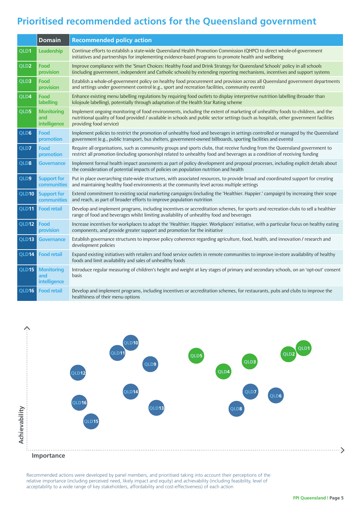### **Prioritised recommended actions for the Queensland government**

|                  | <b>Domain</b>                                   | <b>Recommended policy action</b>                                                                                                                                                                                                                                                                  |
|------------------|-------------------------------------------------|---------------------------------------------------------------------------------------------------------------------------------------------------------------------------------------------------------------------------------------------------------------------------------------------------|
| QLD1             | Leadership                                      | Continue efforts to establish a state-wide Queensland Health Promotion Commission (QHPC) to direct whole-of-government<br>initiatives and partnerships for implementing evidence-based programs to promote health and wellbeing                                                                   |
| QLD <sub>2</sub> | <b>Food</b><br>provision                        | Improve compliance with the 'Smart Choices: Healthy Food and Drink Strategy for Queensland Schools' policy in all schools<br>(including government, independent and Catholic schools) by extending reporting mechanisms, incentives and support systems                                           |
| QLD3             | Food<br>provision                               | Establish a whole-of-government policy on healthy food procurement and provision across all Queensland government departments<br>and settings under government control (e.g., sport and recreation facilities, community events)                                                                  |
| QLD4             | Food<br>labelling                               | Enhance existing menu labelling regulations by requiring food outlets to display interpretive nutrition labelling (broader than<br>kilojoule labelling), potentially through adaptation of the Health Star Rating scheme                                                                          |
| QLD5             | <b>Monitoring</b><br>and<br>intelligence        | Implement ongoing monitoring of food environments, including the extent of marketing of unhealthy foods to children, and the<br>nutritional quality of food provided / available in schools and public sector settings (such as hospitals, other government facilities<br>providing food service) |
| QLD6             | Food<br>promotion                               | Implement policies to restrict the promotion of unhealthy food and beverages in settings controlled or managed by the Queensland<br>government (e.g., public transport, bus shelters, government-owned billboards, sporting facilities and events)                                                |
| QLD7             | Food<br>promotion                               | Require all organisations, such as community groups and sports clubs, that receive funding from the Queensland government to<br>restrict all promotion (including sponsorship) related to unhealthy food and beverages as a condition of receiving funding                                        |
| QLD8             | <b>Governance</b>                               | Implement formal health impact assessments as part of policy development and proposal processes, including explicit details about<br>the consideration of potential impacts of policies on population nutrition and health                                                                        |
| QLD9             | <b>Support for</b><br>communities               | Put in place overarching state-wide structures, with associated resources, to provide broad and coordinated support for creating<br>and maintaining healthy food environments at the community level across multiple settings                                                                     |
| QLD10            | <b>Support for</b><br>communities               | Extend commitment to existing social marketing campaigns (including the 'Healthier. Happier.' campaign) by increasing their scope<br>and reach, as part of broader efforts to improve population nutrition                                                                                        |
| QLD11            | <b>Food retail</b>                              | Develop and implement programs, including incentives or accreditation schemes, for sports and recreation clubs to sell a healthier<br>range of food and beverages whilst limiting availability of unhealthy food and beverages                                                                    |
| QLD12            | Food<br>provision                               | Increase incentives for workplaces to adopt the 'Healthier. Happier. Workplaces' initiative, with a particular focus on healthy eating<br>components, and provide greater support and promotion for the initiative                                                                                |
| QLD13            | <b>Governance</b>                               | Establish governance structures to improve policy coherence regarding agriculture, food, health, and innovation / research and<br>development policies                                                                                                                                            |
| QLD14            | <b>Food retail</b>                              | Expand existing initiatives with retailers and food service outlets in remote communities to improve in-store availability of healthy<br>foods and limit availability and sales of unhealthy foods                                                                                                |
| QLD15            | <b>Monitoring</b><br>and<br><b>intelligence</b> | Introduce regular measuring of children's height and weight at key stages of primary and secondary schools, on an 'opt-out' consent<br>basis                                                                                                                                                      |
| QLD16            | <b>Food retail</b>                              | Develop and implement programs, including incentives or accreditation schemes, for restaurants, pubs and clubs to improve the<br>healthiness of their menu options                                                                                                                                |



Recommended actions were developed by panel members, and prioritised taking into account their perceptions of the relative importance (including perceived need, likely impact and equity) and achievability (including feasibility, level of acceptability to a wide range of key stakeholders, affordability and cost-effectiveness) of each action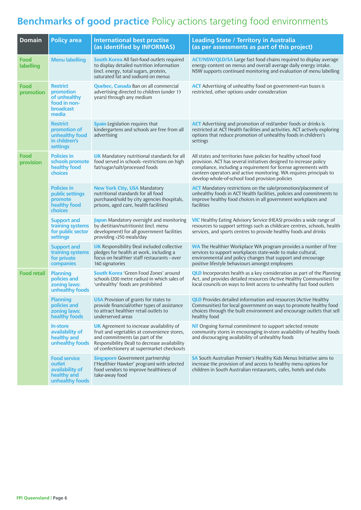### **Benchmarks of good practice** Policy actions targeting food environments

| <b>Domain</b>      | <b>Policy area</b>                                                                 | <b>International best practise</b>                                                                                                                                                                                              | <b>Leading State / Territory in Australia</b>                                                                                                                                                                                                                                                                                      |
|--------------------|------------------------------------------------------------------------------------|---------------------------------------------------------------------------------------------------------------------------------------------------------------------------------------------------------------------------------|------------------------------------------------------------------------------------------------------------------------------------------------------------------------------------------------------------------------------------------------------------------------------------------------------------------------------------|
|                    |                                                                                    | (as identified by INFORMAS)                                                                                                                                                                                                     | (as per assessments as part of this project)                                                                                                                                                                                                                                                                                       |
| Food<br>labelling  | <b>Menu labelling</b>                                                              | <b>South Korea</b> All fast-food outlets required<br>to display detailed nutrition information<br>(incl. energy, total sugars, protein,<br>saturated fat and sodium) on menus                                                   | <b>ACT/NSW/QLD/SA</b> Large fast food chains required to display average<br>energy content on menus and overall average daily energy intake.<br>NSW supports continued monitoring and evaluation of menu labelling                                                                                                                 |
| Food<br>promotion  | <b>Restrict</b><br>promotion<br>of unhealthy<br>food in non-<br>broadcast<br>media | <b>Quebec, Canada</b> Ban on all commercial<br>advertising directed to children (under 13<br>years) through any medium                                                                                                          | <b>ACT</b> Advertising of unhealthy food on government-run buses is<br>restricted, other options under consideration                                                                                                                                                                                                               |
|                    | <b>Restrict</b><br>promotion of<br>unhealthy food<br>in children's<br>settings     | <b>Spain</b> Legislation requires that<br>kindergartens and schools are free from all<br>advertising                                                                                                                            | <b>ACT</b> Advertising and promotion of red/amber foods or drinks is<br>restricted at ACT Health facilities and activities. ACT actively exploring<br>options that reduce promotion of unhealthy foods in children's<br>settings                                                                                                   |
| Food<br>provision  | <b>Policies in</b><br>schools promote<br>healthy food<br>choices                   | <b>UK</b> Mandatory nutritional standards for all<br>food served in schools -restrictions on high<br>fat/sugar/salt/processed foods                                                                                             | All states and territories have policies for healthy school food<br>provision. ACT has several initiatives designed to increase policy<br>compliance, including a requirement for license agreements with<br>canteen operators and active monitoring. WA requires principals to<br>develop whole-of-school food provision policies |
|                    | <b>Policies in</b><br>public settings<br>promote<br>healthy food<br>choices        | <b>New York City, USA Mandatory</b><br>nutritional standards for all food<br>purchased/sold by city agencies (hospitals,<br>prisons, aged care, health facilities)                                                              | <b>ACT</b> Mandatory restrictions on the sale/promotion/placement of<br>unhealthy foods in ACT Health facilities, policies and commitments to<br>improve healthy food choices in all government workplaces and<br>facilities                                                                                                       |
|                    | <b>Support and</b><br>training systems<br>for public sector<br>settings            | Japan Mandatory oversight and monitoring<br>by dietitian/nutritionist (incl. menu<br>development) for all government facilities<br>providing >250 meals/day                                                                     | <b>VIC</b> Healthy Eating Advisory Service (HEAS) provides a wide range of<br>resources to support settings such as childcare centres, schools, health<br>services, and sports centres to provide healthy foods and drinks                                                                                                         |
|                    | <b>Support and</b><br>training systems<br>for private<br>companies                 | <b>UK</b> Responsibility Deal included collective<br>pledges for health at work, including a<br>focus on healthier staff restaurants - over<br>160 signatories                                                                  | <b>WA</b> The Healthier Workplace WA program provides a number of free<br>services to support workplaces state-wide to make cultural,<br>environmental and policy changes that support and encourage<br>positive lifestyle behaviours amongst employees                                                                            |
| <b>Food retail</b> | <b>Planning</b><br>policies and<br>zoning laws:<br>unhealthy foods                 | <b>South Korea</b> 'Green Food Zones' around<br>schools (200 metre radius) in which sales of<br>'unhealthy' foods are prohibited                                                                                                | <b>QLD</b> Incorporates health as a key consideration as part of the Planning<br>Act, and provides detailed resources (Active Healthy Communities) for<br>local councils on ways to limit access to unhealthy fast food outlets                                                                                                    |
|                    | <b>Planning</b><br>policies and<br>zoning laws:<br>healthy foods                   | <b>USA</b> Provision of grants for states to<br>provide financial/other types of assistance<br>to attract healthier retail outlets to<br>underserved areas                                                                      | <b>QLD</b> Provides detailed information and resources (Active Healthy<br>Communities) for local government on ways to promote healthy food<br>choices through the built environment and encourage outlets that sell<br>healthy food                                                                                               |
|                    | <b>In-store</b><br>availability of<br>healthy and<br>unhealthy foods               | <b>UK</b> Agreement to increase availability of<br>fruit and vegetables at convenience stores,<br>and commitments (as part of the<br>Responsibility Deal) to decrease availability<br>of confectionery at supermarket checkouts | NT Ongoing formal commitment to support selected remote<br>community stores in encouraging in-store availability of healthy foods<br>and discouraging availability of unhealthy foods                                                                                                                                              |
|                    | <b>Food service</b><br>outlet<br>availability of<br>healthy and<br>unhealthy foods | <b>Singapore</b> Government partnership<br>('Healthier Hawker' program) with selected<br>food vendors to improve healthiness of<br>take-away food                                                                               | SA South Australian Premier's Healthy Kids Menus Initiative aims to<br>increase the provision of and access to healthy menu options for<br>children in South Australian restaurants, cafes, hotels and clubs                                                                                                                       |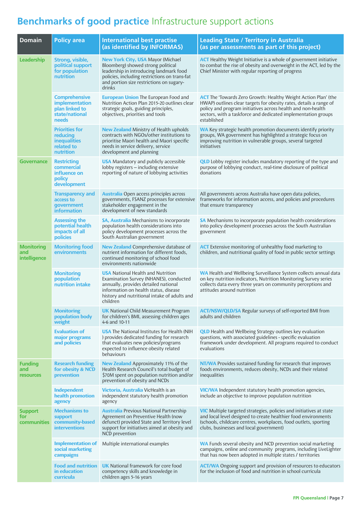### **Benchmarks of good practice** Infrastructure support actions

| <b>Domain</b>                             | <b>Policy area</b>                                                                  | <b>International best practise</b><br>(as identified by INFORMAS)                                                                                                                                                                | <b>Leading State / Territory in Australia</b><br>(as per assessments as part of this project)                                                                                                                                                                                              |
|-------------------------------------------|-------------------------------------------------------------------------------------|----------------------------------------------------------------------------------------------------------------------------------------------------------------------------------------------------------------------------------|--------------------------------------------------------------------------------------------------------------------------------------------------------------------------------------------------------------------------------------------------------------------------------------------|
| Leadership                                | Strong, visible,<br>political support<br>for population<br>nutrition                | <b>New York City, USA Mayor (Michael</b><br>Bloomberg) showed strong political<br>leadership in introducing landmark food<br>policies, including restrictions on trans-fat<br>and portion size restrictions on sugary-<br>drinks | <b>ACT</b> Healthy Weight Initiative is a whole of government initiative<br>to combat the rise of obesity and overweight in the ACT, led by the<br>Chief Minister with regular reporting of progress                                                                                       |
|                                           | <b>Comprehensive</b><br>implementation<br>plan linked to<br>state/national<br>needs | <b>European Union The European Food and</b><br>Nutrition Action Plan 2015-20 outlines clear<br>strategic goals, guiding principles,<br>objectives, priorities and tools                                                          | <b>ACT</b> The 'Towards Zero Growth: Healthy Weight Action Plan' (the<br>HWAP) outlines clear targets for obesity rates, details a range of<br>policy and program initiatives across health and non-health<br>sectors, with a taskforce and dedicated implementation groups<br>established |
|                                           | <b>Priorities for</b><br>reducing<br><b>inequalities</b><br>related to<br>nutrition | <b>New Zealand</b> Ministry of Health upholds<br>contracts with NGOs/other institutions to<br>prioritise Maori health and Maori specific<br>needs in service delivery, service<br>development and planning                       | <b>WA</b> Key strategic health promotion documents identify priority<br>groups, WA government has highlighted a strategic focus on<br>improving nutrition in vulnerable groups, several targeted<br>initiatives                                                                            |
| <b>Governance</b>                         | <b>Restricting</b><br>commercial<br>influence on<br>policy<br>development           | <b>USA</b> Mandatory and publicly accessible<br>lobby registers - including extensive<br>reporting of nature of lobbying activities                                                                                              | <b>QLD</b> Lobby register includes mandatory reporting of the type and<br>purpose of lobbying conduct, real-time disclosure of political<br>donations                                                                                                                                      |
|                                           | <b>Transparency and</b><br>access to<br>government<br><b>information</b>            | <b>Australia</b> Open access principles across<br>governments, FSANZ processes for extensive<br>stakeholder engagement in the<br>development of new standards                                                                    | All governments across Australia have open data policies,<br>frameworks for information access, and policies and procedures<br>that ensure transparency                                                                                                                                    |
|                                           | <b>Assessing the</b><br>potential health<br>impacts of all<br>policies              | <b>SA, Australia</b> Mechanisms to incorporate<br>population health considerations into<br>policy development processes across the<br>South Australian government                                                                | SA Mechanisms to incorporate population health considerations<br>into policy development processes across the South Australian<br>government                                                                                                                                               |
| <b>Monitoring</b><br>and<br>intelligence  | <b>Monitoring food</b><br>environments                                              | <b>New Zealand</b> Comprehensive database of<br>nutrient information for different foods,<br>continued monitoring of school food<br>environments nationwide                                                                      | <b>ACT</b> Extensive monitoring of unhealthy food marketing to<br>children, and nutritional quality of food in public sector settings                                                                                                                                                      |
|                                           | <b>Monitoring</b><br>population<br>nutrition intake                                 | <b>USA</b> National Health and Nutrition<br>Examination Survey (NHANES), conducted<br>annually, provides detailed national<br>information on health status, disease<br>history and nutritional intake of adults and<br>children  | WA Health and Wellbeing Surveillance System collects annual data<br>on key nutrition indicators, Nutrition Monitoring Survey series<br>collects data every three years on community perceptions and<br>attitudes around nutrition                                                          |
|                                           | <b>Monitoring</b><br>population body<br>weight                                      | <b>UK</b> National Child Measurement Program<br>for children's BMI, assessing children ages<br>4-6 and 10-11                                                                                                                     | <b>ACT/NSW/QLD/SA</b> Regular surveys of self-reported BMI from<br>adults and children                                                                                                                                                                                                     |
|                                           | <b>Evaluation of</b><br>major programs<br>and policies                              | <b>USA</b> The National Institutes for Health (NIH<br>) provides dedicated funding for research<br>that evaluates new policies/programs<br>expected to influence obesity related<br>behaviours                                   | <b>QLD</b> Health and Wellbeing Strategy outlines key evaluation<br>questions, with associated guidelines - specific evaluation<br>framework under development. All programs required to conduct<br>evaluations                                                                            |
| <b>Funding</b><br>and<br><b>resources</b> | <b>Research funding</b><br>for obesity & NCD<br>prevention                          | New Zealand Approximately 11% of the<br>Health Research Council's total budget of<br>\$70M spent on population nutrition and/or<br>prevention of obesity and NCDs                                                                | <b>NT/WA</b> Provides sustained funding for research that improves<br>foods environments, reduces obesity, NCDs and their related<br>inequalities                                                                                                                                          |
|                                           | Independent<br>health promotion<br>agency                                           | Victoria, Australia VicHealth is an<br>independent statutory health promotion<br>agency                                                                                                                                          | <b>VIC/WA</b> Independent statutory health promotion agencies,<br>include an objective to improve population nutrition                                                                                                                                                                     |
| <b>Support</b><br>for<br>communities      | <b>Mechanisms to</b><br>support<br>community-based<br><b>interventions</b>          | <b>Australia</b> Previous National Partnership<br>Agreement on Preventive Health (now<br>defunct) provided State and Territory level<br>support for initiatives aimed at obesity and<br>NCD prevention                           | <b>VIC</b> Multiple targeted strategies, policies and initiatives at state<br>and local level designed to create healthier food environments<br>(schools, childcare centres, workplaces, food outlets, sporting<br>clubs, businesses and local government)                                 |
|                                           | <b>Implementation of</b><br>social marketing<br>campaigns                           | Multiple international examples                                                                                                                                                                                                  | WA Funds several obesity and NCD prevention social marketing<br>campaigns, online and community programs, including LiveLighter<br>that has now been adopted in multiple states / territories                                                                                              |
|                                           | <b>Food and nutrition</b><br>in education<br>curricula                              | <b>UK</b> National framework for core food<br>competency skills and knowledge in<br>children ages 5-16 years                                                                                                                     | <b>ACT/WA</b> Ongoing support and provision of resources to educators<br>for the inclusion of food and nutrition in school curricula                                                                                                                                                       |